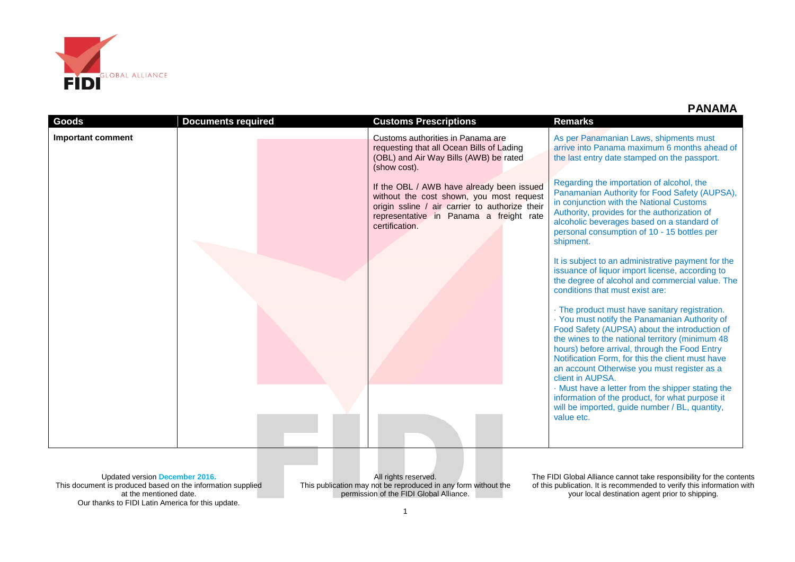

 **PANAMA**

| Goods                    | <b>Documents required</b> | <b>Customs Prescriptions</b>                                                                                                                                                                         | <b>Remarks</b>                                                                                                                                                                                                                                                                                                                                                              |
|--------------------------|---------------------------|------------------------------------------------------------------------------------------------------------------------------------------------------------------------------------------------------|-----------------------------------------------------------------------------------------------------------------------------------------------------------------------------------------------------------------------------------------------------------------------------------------------------------------------------------------------------------------------------|
| <b>Important comment</b> |                           | Customs authorities in Panama are<br>requesting that all Ocean Bills of Lading<br>(OBL) and Air Way Bills (AWB) be rated<br>(show cost).                                                             | As per Panamanian Laws, shipments must<br>arrive into Panama maximum 6 months ahead of<br>the last entry date stamped on the passport.                                                                                                                                                                                                                                      |
|                          |                           | If the OBL / AWB have already been issued<br>without the cost shown, you most request<br>origin ssline / air carrier to authorize their<br>representative in Panama a freight rate<br>certification. | Regarding the importation of alcohol, the<br>Panamanian Authority for Food Safety (AUPSA),<br>in conjunction with the National Customs<br>Authority, provides for the authorization of<br>alcoholic beverages based on a standard of<br>personal consumption of 10 - 15 bottles per<br>shipment.                                                                            |
|                          |                           |                                                                                                                                                                                                      | It is subject to an administrative payment for the<br>issuance of liquor import license, according to<br>the degree of alcohol and commercial value. The<br>conditions that must exist are:                                                                                                                                                                                 |
|                          |                           |                                                                                                                                                                                                      | · The product must have sanitary registration.<br>· You must notify the Panamanian Authority of<br>Food Safety (AUPSA) about the introduction of<br>the wines to the national territory (minimum 48<br>hours) before arrival, through the Food Entry<br>Notification Form, for this the client must have<br>an account Otherwise you must register as a<br>client in AUPSA. |
|                          |                           |                                                                                                                                                                                                      | · Must have a letter from the shipper stating the<br>information of the product, for what purpose it<br>will be imported, guide number / BL, quantity,<br>value etc.                                                                                                                                                                                                        |

Updated version **December 2016.** This document is produced based on the information supplied at the mentioned date. Our thanks to FIDI Latin America for this update.

All rights reserved. This publication may not be reproduced in any form without the permission of the FIDI Global Alliance.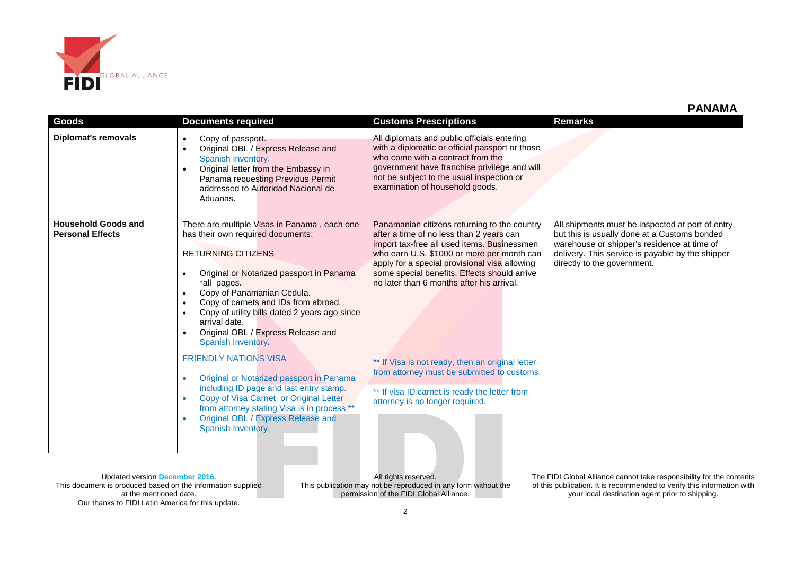

| Goods                                                 | <b>Documents required</b>                                                                                                                                                                                                                                                                                                                                                     | <b>Customs Prescriptions</b>                                                                                                                                                                                                                                                                                                        | <b>Remarks</b>                                                                                                                                                                                                                      |
|-------------------------------------------------------|-------------------------------------------------------------------------------------------------------------------------------------------------------------------------------------------------------------------------------------------------------------------------------------------------------------------------------------------------------------------------------|-------------------------------------------------------------------------------------------------------------------------------------------------------------------------------------------------------------------------------------------------------------------------------------------------------------------------------------|-------------------------------------------------------------------------------------------------------------------------------------------------------------------------------------------------------------------------------------|
| <b>Diplomat's removals</b>                            | Copy of passport.<br>$\bullet$<br>Original OBL / Express Release and<br>Spanish Inventory.<br>Original letter from the Embassy in<br>Panama requesting Previous Permit<br>addressed to Autoridad Nacional de<br>Aduanas.                                                                                                                                                      | All diplomats and public officials entering<br>with a diplomatic or official passport or those<br>who come with a contract from the<br>government have franchise privilege and will<br>not be subject to the usual inspection or<br>examination of household goods.                                                                 |                                                                                                                                                                                                                                     |
| <b>Household Goods and</b><br><b>Personal Effects</b> | There are multiple Visas in Panama, each one<br>has their own required documents:<br><b>RETURNING CITIZENS</b><br>Original or Notarized passport in Panama<br>*all pages.<br>Copy of Panamanian Cedula.<br>Copy of carnets and IDs from abroad.<br>Copy of utility bills dated 2 years ago since<br>arrival date.<br>Original OBL / Express Release and<br>Spanish Inventory. | Panamanian citizens returning to the country<br>after a time of no less than 2 years can<br>import tax-free all used items. Businessmen<br>who earn U.S. \$1000 or more per month can<br>apply for a special provisional visa allowing<br>some special benefits. Effects should arrive<br>no later than 6 months after his arrival. | All shipments must be inspected at port of entry,<br>but this is usually done at a Customs bonded<br>warehouse or shipper's residence at time of<br>delivery. This service is payable by the shipper<br>directly to the government. |
|                                                       | <b>FRIENDLY NATIONS VISA</b><br>Original or Notarized passport in Panama<br>including ID page and last entry stamp.<br>Copy of Visa Carnet or Original Letter<br>$\bullet$<br>from attorney stating Visa is in process **<br>Original OBL / Express Release and<br>Spanish Inventory.                                                                                         | ** If Visa is not ready, then an original letter<br>from attorney must be submitted to customs.<br>** If visa ID carnet is ready the letter from<br>attorney is no longer required.                                                                                                                                                 |                                                                                                                                                                                                                                     |

Updated version **December 2016.** This document is produced based on the information supplied at the mentioned date. Our thanks to FIDI Latin America for this update.

All rights reserved. This publication may not be reproduced in any form without the permission of the FIDI Global Alliance.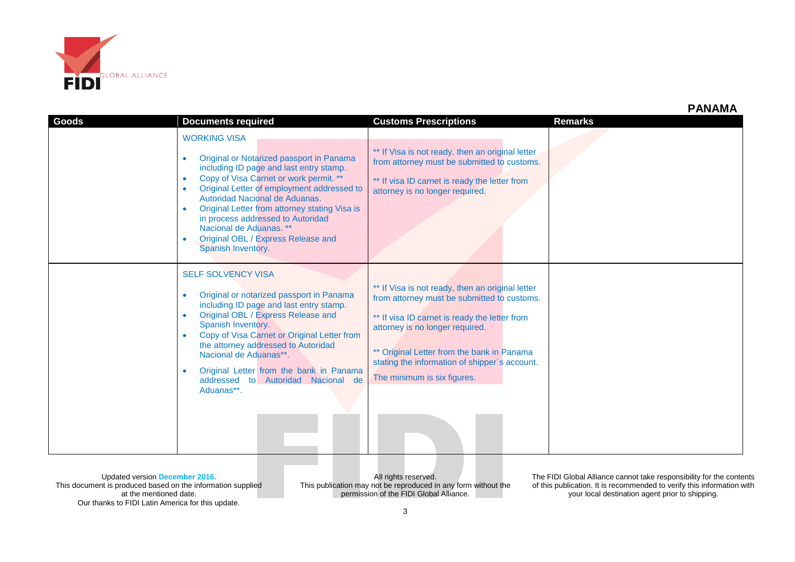

|              |                                                                                                                                                                                                                                                                                                                                                                                                                                                          |                                                                                                                                                                                                                                                                                                                   | $\blacksquare$ |
|--------------|----------------------------------------------------------------------------------------------------------------------------------------------------------------------------------------------------------------------------------------------------------------------------------------------------------------------------------------------------------------------------------------------------------------------------------------------------------|-------------------------------------------------------------------------------------------------------------------------------------------------------------------------------------------------------------------------------------------------------------------------------------------------------------------|----------------|
| <b>Goods</b> | <b>Documents required</b>                                                                                                                                                                                                                                                                                                                                                                                                                                | <b>Customs Prescriptions</b>                                                                                                                                                                                                                                                                                      | <b>Remarks</b> |
|              | <b>WORKING VISA</b><br>Original or Notarized passport in Panama<br>including ID page and last entry stamp.<br>Copy of Visa Carnet or work permit. **<br>$\bullet$<br>Original Letter of employment addressed to<br>$\bullet$<br>Autoridad Nacional de Aduanas.<br>Original Letter from attorney stating Visa is<br>$\bullet$<br>in process addressed to Autoridad<br>Nacional de Aduanas. **<br>Original OBL / Express Release and<br>Spanish Inventory. | ** If Visa is not ready, then an original letter<br>from attorney must be submitted to customs.<br>** If visa ID carnet is ready the letter from<br>attorney is no longer required.                                                                                                                               |                |
|              | <b>SELF SOLVENCY VISA</b><br>Original or notarized passport in Panama<br>$\bullet$<br>including ID page and last entry stamp.<br>Original OBL / Express Release and<br>$\bullet$<br>Spanish Inventory.<br>Copy of Visa Carnet or Original Letter from<br>the attorney addressed to Autoridad<br>Nacional de Aduanas**.<br>Original Letter from the bank in Panama<br>addressed to Autoridad Nacional de<br>Aduanas**.                                    | ** If Visa is not ready, then an original letter<br>from attorney must be submitted to customs.<br>** If visa ID carnet is ready the letter from<br>attorney is no longer required.<br>** Original Letter from the bank in Panama<br>stating the information of shipper's account.<br>The minimum is six figures. |                |

Updated version **December 2016.** This document is produced based on the information supplied at the mentioned date. Our thanks to FIDI Latin America for this update.

All rights reserved. This publication may not be reproduced in any form without the permission of the FIDI Global Alliance.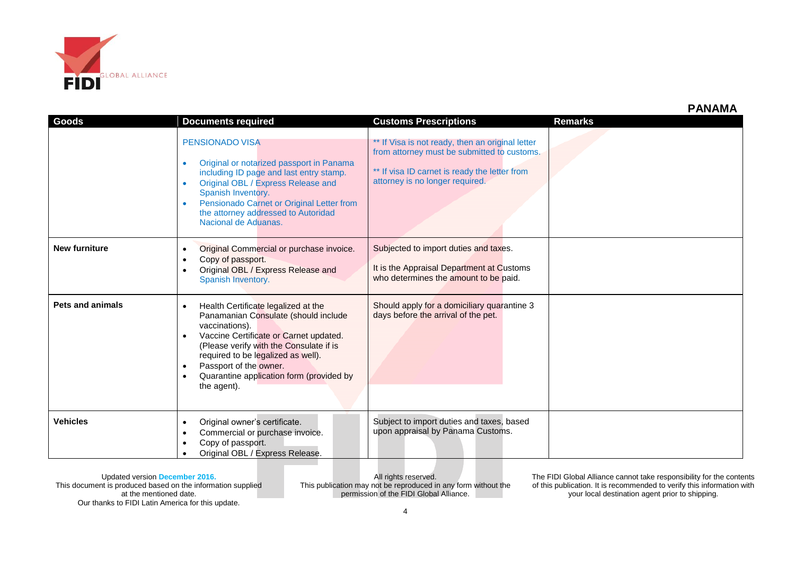

| Goods                   | <b>Documents required</b>                                                                                                                                                                                                                                                                                     | <b>Customs Prescriptions</b>                                                                                                                                                        | <b>Remarks</b> |
|-------------------------|---------------------------------------------------------------------------------------------------------------------------------------------------------------------------------------------------------------------------------------------------------------------------------------------------------------|-------------------------------------------------------------------------------------------------------------------------------------------------------------------------------------|----------------|
|                         | <b>PENSIONADO VISA</b><br>Original or notarized passport in Panama<br>including ID page and last entry stamp.<br>Original OBL / Express Release and<br>Spanish Inventory.<br>Pensionado Carnet or Original Letter from<br>the attorney addressed to Autoridad<br>Nacional de Aduanas.                         | ** If Visa is not ready, then an original letter<br>from attorney must be submitted to customs.<br>** If visa ID carnet is ready the letter from<br>attorney is no longer required. |                |
| <b>New furniture</b>    | Original Commercial or purchase invoice.<br>Copy of passport.<br>Original OBL / Express Release and<br>Spanish Inventory.                                                                                                                                                                                     | Subjected to import duties and taxes.<br>It is the Appraisal Department at Customs<br>who determines the amount to be paid.                                                         |                |
| <b>Pets and animals</b> | Health Certificate legalized at the<br>Panamanian Consulate (should include<br>vaccinations).<br>Vaccine Certificate or Carnet updated.<br>(Please verify with the Consulate if is<br>required to be legalized as well).<br>Passport of the owner.<br>Quarantine application form (provided by<br>the agent). | Should apply for a domiciliary quarantine 3<br>days before the arrival of the pet.                                                                                                  |                |
| <b>Vehicles</b>         | Original owner's certificate.<br>٠<br>Commercial or purchase invoice.<br>٠<br>Copy of passport.<br>Original OBL / Express Release.                                                                                                                                                                            | Subject to import duties and taxes, based<br>upon appraisal by Panama Customs.                                                                                                      |                |

Updated version **December 2016.** This document is produced based on the information supplied at the mentioned date. Our thanks to FIDI Latin America for this update.

All rights reserved. This publication may not be reproduced in any form without the permission of the FIDI Global Alliance.